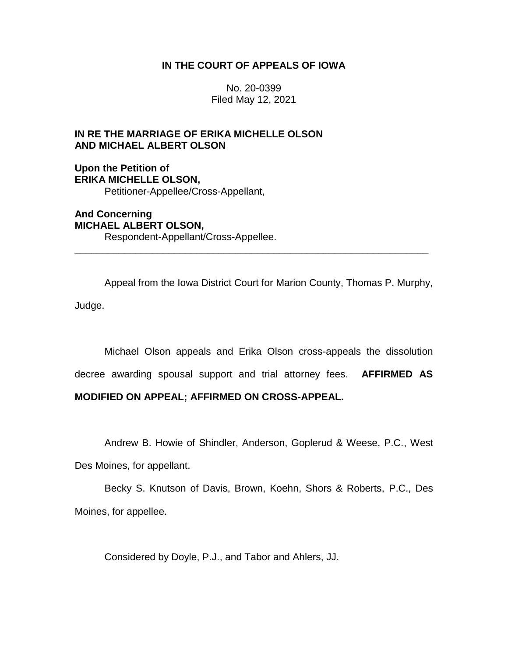# **IN THE COURT OF APPEALS OF IOWA**

No. 20-0399 Filed May 12, 2021

# **IN RE THE MARRIAGE OF ERIKA MICHELLE OLSON AND MICHAEL ALBERT OLSON**

**Upon the Petition of ERIKA MICHELLE OLSON,** Petitioner-Appellee/Cross-Appellant,

**And Concerning MICHAEL ALBERT OLSON,** Respondent-Appellant/Cross-Appellee.

Appeal from the Iowa District Court for Marion County, Thomas P. Murphy, Judge.

\_\_\_\_\_\_\_\_\_\_\_\_\_\_\_\_\_\_\_\_\_\_\_\_\_\_\_\_\_\_\_\_\_\_\_\_\_\_\_\_\_\_\_\_\_\_\_\_\_\_\_\_\_\_\_\_\_\_\_\_\_\_\_\_

Michael Olson appeals and Erika Olson cross-appeals the dissolution decree awarding spousal support and trial attorney fees. **AFFIRMED AS** 

# **MODIFIED ON APPEAL; AFFIRMED ON CROSS-APPEAL.**

Andrew B. Howie of Shindler, Anderson, Goplerud & Weese, P.C., West Des Moines, for appellant.

Becky S. Knutson of Davis, Brown, Koehn, Shors & Roberts, P.C., Des Moines, for appellee.

Considered by Doyle, P.J., and Tabor and Ahlers, JJ.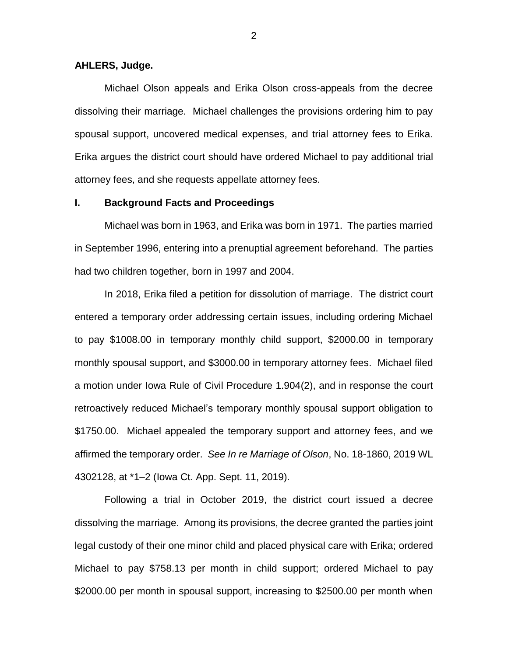#### **AHLERS, Judge.**

Michael Olson appeals and Erika Olson cross-appeals from the decree dissolving their marriage. Michael challenges the provisions ordering him to pay spousal support, uncovered medical expenses, and trial attorney fees to Erika. Erika argues the district court should have ordered Michael to pay additional trial attorney fees, and she requests appellate attorney fees.

### **I. Background Facts and Proceedings**

Michael was born in 1963, and Erika was born in 1971. The parties married in September 1996, entering into a prenuptial agreement beforehand. The parties had two children together, born in 1997 and 2004.

In 2018, Erika filed a petition for dissolution of marriage. The district court entered a temporary order addressing certain issues, including ordering Michael to pay \$1008.00 in temporary monthly child support, \$2000.00 in temporary monthly spousal support, and \$3000.00 in temporary attorney fees. Michael filed a motion under Iowa Rule of Civil Procedure 1.904(2), and in response the court retroactively reduced Michael's temporary monthly spousal support obligation to \$1750.00. Michael appealed the temporary support and attorney fees, and we affirmed the temporary order. *See In re Marriage of Olson*, No. 18-1860, 2019 WL 4302128, at \*1–2 (Iowa Ct. App. Sept. 11, 2019).

Following a trial in October 2019, the district court issued a decree dissolving the marriage. Among its provisions, the decree granted the parties joint legal custody of their one minor child and placed physical care with Erika; ordered Michael to pay \$758.13 per month in child support; ordered Michael to pay \$2000.00 per month in spousal support, increasing to \$2500.00 per month when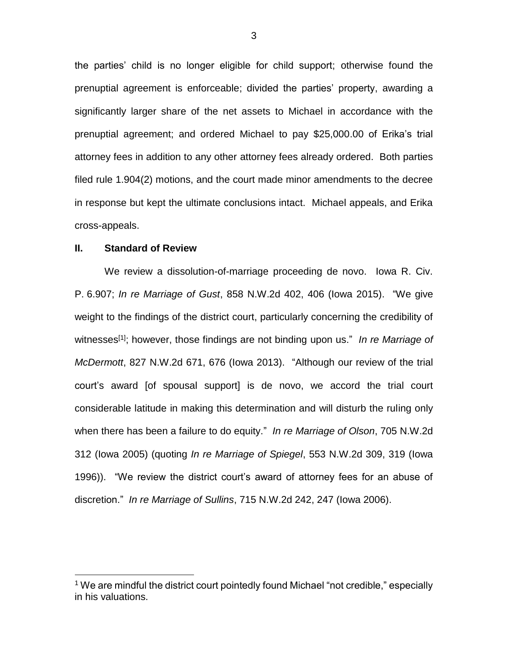the parties' child is no longer eligible for child support; otherwise found the prenuptial agreement is enforceable; divided the parties' property, awarding a significantly larger share of the net assets to Michael in accordance with the prenuptial agreement; and ordered Michael to pay \$25,000.00 of Erika's trial attorney fees in addition to any other attorney fees already ordered. Both parties filed rule 1.904(2) motions, and the court made minor amendments to the decree in response but kept the ultimate conclusions intact. Michael appeals, and Erika cross-appeals.

### **II. Standard of Review**

 $\overline{a}$ 

We review a dissolution-of-marriage proceeding de novo. Iowa R. Civ. P. 6.907; *In re Marriage of Gust*, 858 N.W.2d 402, 406 (Iowa 2015). "We give weight to the findings of the district court, particularly concerning the credibility of witnesses<sup>[1]</sup>; however, those findings are not binding upon us." In re Marriage of *McDermott*, 827 N.W.2d 671, 676 (Iowa 2013). "Although our review of the trial court's award [of spousal support] is de novo, we accord the trial court considerable latitude in making this determination and will disturb the ruling only when there has been a failure to do equity." *In re Marriage of Olson*, 705 N.W.2d 312 (Iowa 2005) (quoting *In re Marriage of Spiegel*, 553 N.W.2d 309, 319 (Iowa 1996)). "We review the district court's award of attorney fees for an abuse of discretion." *In re Marriage of Sullins*, 715 N.W.2d 242, 247 (Iowa 2006).

<sup>&</sup>lt;sup>1</sup> We are mindful the district court pointedly found Michael "not credible," especially in his valuations.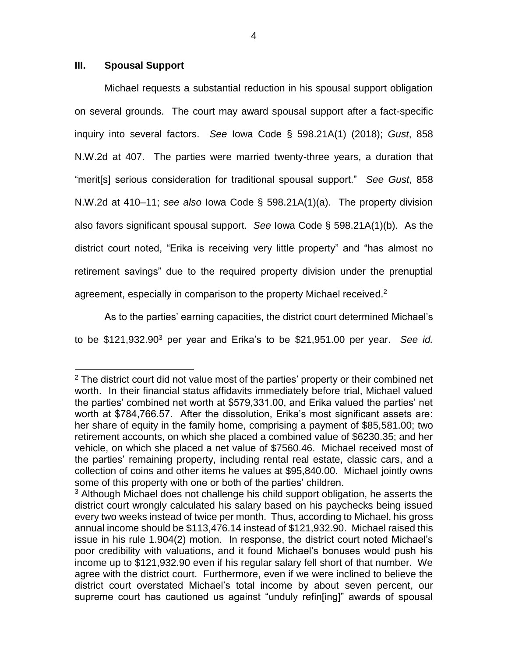### **III. Spousal Support**

 $\overline{a}$ 

Michael requests a substantial reduction in his spousal support obligation on several grounds. The court may award spousal support after a fact-specific inquiry into several factors. *See* Iowa Code § 598.21A(1) (2018); *Gust*, 858 N.W.2d at 407. The parties were married twenty-three years, a duration that "merit[s] serious consideration for traditional spousal support." *See Gust*, 858 N.W.2d at 410–11; *see also* Iowa Code § 598.21A(1)(a). The property division also favors significant spousal support. *See* Iowa Code § 598.21A(1)(b). As the district court noted, "Erika is receiving very little property" and "has almost no retirement savings" due to the required property division under the prenuptial agreement, especially in comparison to the property Michael received.<sup>2</sup>

As to the parties' earning capacities, the district court determined Michael's to be \$121,932.90<sup>3</sup> per year and Erika's to be \$21,951.00 per year. *See id.* 

 $2$  The district court did not value most of the parties' property or their combined net worth. In their financial status affidavits immediately before trial, Michael valued the parties' combined net worth at \$579,331.00, and Erika valued the parties' net worth at \$784,766.57. After the dissolution, Erika's most significant assets are: her share of equity in the family home, comprising a payment of \$85,581.00; two retirement accounts, on which she placed a combined value of \$6230.35; and her vehicle, on which she placed a net value of \$7560.46. Michael received most of the parties' remaining property, including rental real estate, classic cars, and a collection of coins and other items he values at \$95,840.00. Michael jointly owns some of this property with one or both of the parties' children.

<sup>&</sup>lt;sup>3</sup> Although Michael does not challenge his child support obligation, he asserts the district court wrongly calculated his salary based on his paychecks being issued every two weeks instead of twice per month. Thus, according to Michael, his gross annual income should be \$113,476.14 instead of \$121,932.90. Michael raised this issue in his rule 1.904(2) motion. In response, the district court noted Michael's poor credibility with valuations, and it found Michael's bonuses would push his income up to \$121,932.90 even if his regular salary fell short of that number. We agree with the district court. Furthermore, even if we were inclined to believe the district court overstated Michael's total income by about seven percent, our supreme court has cautioned us against "unduly refin[ing]" awards of spousal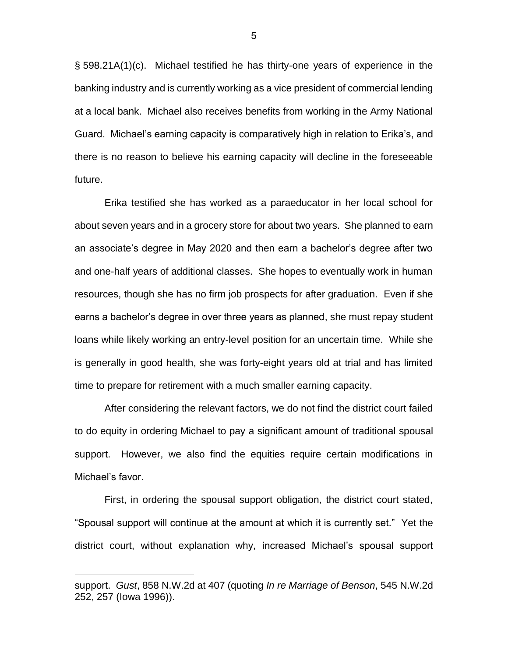§ 598.21A(1)(c). Michael testified he has thirty-one years of experience in the banking industry and is currently working as a vice president of commercial lending at a local bank. Michael also receives benefits from working in the Army National Guard. Michael's earning capacity is comparatively high in relation to Erika's, and there is no reason to believe his earning capacity will decline in the foreseeable future.

Erika testified she has worked as a paraeducator in her local school for about seven years and in a grocery store for about two years. She planned to earn an associate's degree in May 2020 and then earn a bachelor's degree after two and one-half years of additional classes. She hopes to eventually work in human resources, though she has no firm job prospects for after graduation. Even if she earns a bachelor's degree in over three years as planned, she must repay student loans while likely working an entry-level position for an uncertain time. While she is generally in good health, she was forty-eight years old at trial and has limited time to prepare for retirement with a much smaller earning capacity.

After considering the relevant factors, we do not find the district court failed to do equity in ordering Michael to pay a significant amount of traditional spousal support. However, we also find the equities require certain modifications in Michael's favor.

First, in ordering the spousal support obligation, the district court stated, "Spousal support will continue at the amount at which it is currently set." Yet the district court, without explanation why, increased Michael's spousal support

 $\overline{a}$ 

5

support. *Gust*, 858 N.W.2d at 407 (quoting *In re Marriage of Benson*, 545 N.W.2d 252, 257 (Iowa 1996)).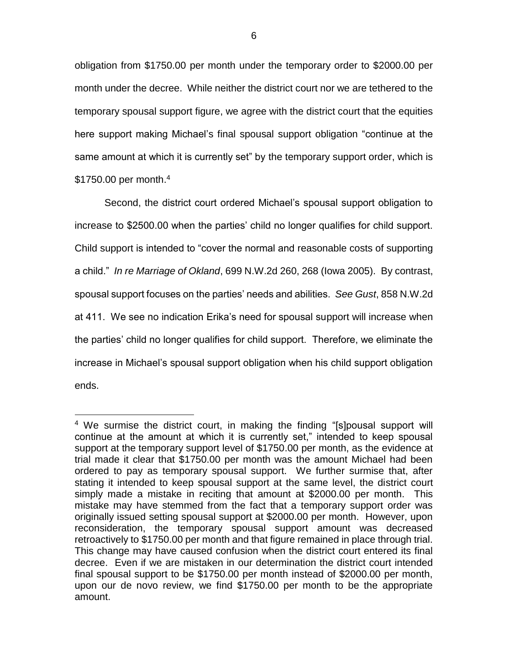obligation from \$1750.00 per month under the temporary order to \$2000.00 per month under the decree. While neither the district court nor we are tethered to the temporary spousal support figure, we agree with the district court that the equities here support making Michael's final spousal support obligation "continue at the same amount at which it is currently set" by the temporary support order, which is \$1750.00 per month.<sup>4</sup>

Second, the district court ordered Michael's spousal support obligation to increase to \$2500.00 when the parties' child no longer qualifies for child support. Child support is intended to "cover the normal and reasonable costs of supporting a child." *In re Marriage of Okland*, 699 N.W.2d 260, 268 (Iowa 2005). By contrast, spousal support focuses on the parties' needs and abilities. *See Gust*, 858 N.W.2d at 411. We see no indication Erika's need for spousal support will increase when the parties' child no longer qualifies for child support. Therefore, we eliminate the increase in Michael's spousal support obligation when his child support obligation ends.

 $\overline{a}$ 

<sup>4</sup> We surmise the district court, in making the finding "[s]pousal support will continue at the amount at which it is currently set," intended to keep spousal support at the temporary support level of \$1750.00 per month, as the evidence at trial made it clear that \$1750.00 per month was the amount Michael had been ordered to pay as temporary spousal support. We further surmise that, after stating it intended to keep spousal support at the same level, the district court simply made a mistake in reciting that amount at \$2000.00 per month. This mistake may have stemmed from the fact that a temporary support order was originally issued setting spousal support at \$2000.00 per month. However, upon reconsideration, the temporary spousal support amount was decreased retroactively to \$1750.00 per month and that figure remained in place through trial. This change may have caused confusion when the district court entered its final decree. Even if we are mistaken in our determination the district court intended final spousal support to be \$1750.00 per month instead of \$2000.00 per month, upon our de novo review, we find \$1750.00 per month to be the appropriate amount.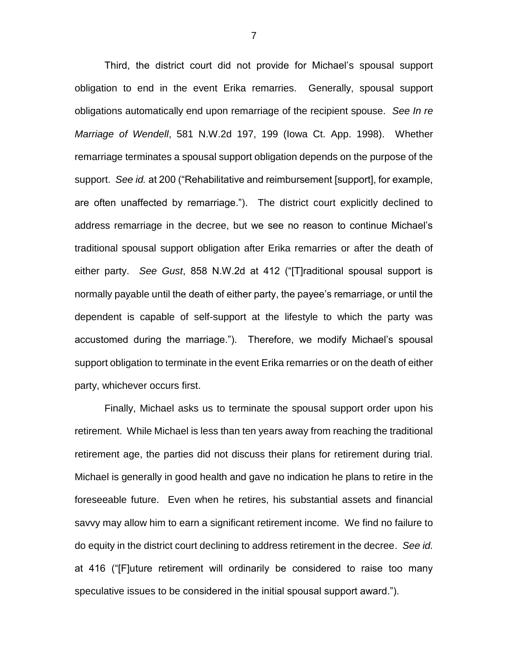Third, the district court did not provide for Michael's spousal support obligation to end in the event Erika remarries. Generally, spousal support obligations automatically end upon remarriage of the recipient spouse. *See In re Marriage of Wendell*, 581 N.W.2d 197, 199 (Iowa Ct. App. 1998). Whether remarriage terminates a spousal support obligation depends on the purpose of the support. *See id.* at 200 ("Rehabilitative and reimbursement [support], for example, are often unaffected by remarriage."). The district court explicitly declined to address remarriage in the decree, but we see no reason to continue Michael's traditional spousal support obligation after Erika remarries or after the death of either party. *See Gust*, 858 N.W.2d at 412 ("[T]raditional spousal support is normally payable until the death of either party, the payee's remarriage, or until the dependent is capable of self-support at the lifestyle to which the party was accustomed during the marriage."). Therefore, we modify Michael's spousal support obligation to terminate in the event Erika remarries or on the death of either party, whichever occurs first.

Finally, Michael asks us to terminate the spousal support order upon his retirement. While Michael is less than ten years away from reaching the traditional retirement age, the parties did not discuss their plans for retirement during trial. Michael is generally in good health and gave no indication he plans to retire in the foreseeable future. Even when he retires, his substantial assets and financial savvy may allow him to earn a significant retirement income. We find no failure to do equity in the district court declining to address retirement in the decree. *See id.* at 416 ("[F]uture retirement will ordinarily be considered to raise too many speculative issues to be considered in the initial spousal support award.").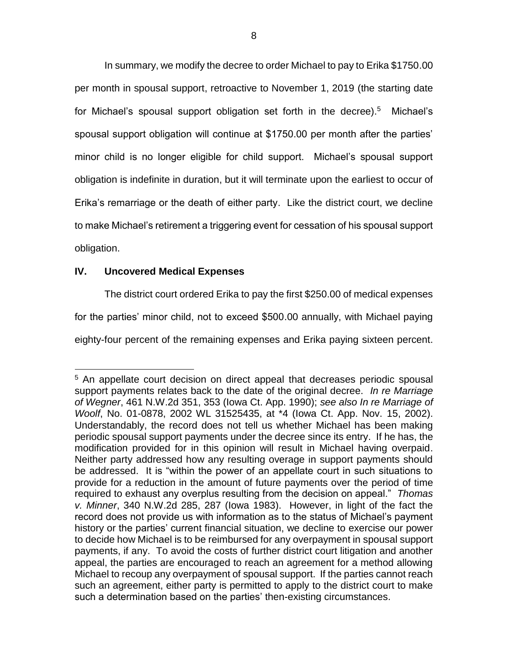In summary, we modify the decree to order Michael to pay to Erika \$1750.00 per month in spousal support, retroactive to November 1, 2019 (the starting date for Michael's spousal support obligation set forth in the decree).<sup>5</sup> Michael's spousal support obligation will continue at \$1750.00 per month after the parties' minor child is no longer eligible for child support. Michael's spousal support obligation is indefinite in duration, but it will terminate upon the earliest to occur of Erika's remarriage or the death of either party. Like the district court, we decline to make Michael's retirement a triggering event for cessation of his spousal support obligation.

# **IV. Uncovered Medical Expenses**

 $\overline{a}$ 

The district court ordered Erika to pay the first \$250.00 of medical expenses for the parties' minor child, not to exceed \$500.00 annually, with Michael paying eighty-four percent of the remaining expenses and Erika paying sixteen percent.

<sup>&</sup>lt;sup>5</sup> An appellate court decision on direct appeal that decreases periodic spousal support payments relates back to the date of the original decree. *In re Marriage of Wegner*, 461 N.W.2d 351, 353 (Iowa Ct. App. 1990); *see also In re Marriage of Woolf*, No. 01-0878, 2002 WL 31525435, at \*4 (Iowa Ct. App. Nov. 15, 2002). Understandably, the record does not tell us whether Michael has been making periodic spousal support payments under the decree since its entry. If he has, the modification provided for in this opinion will result in Michael having overpaid. Neither party addressed how any resulting overage in support payments should be addressed. It is "within the power of an appellate court in such situations to provide for a reduction in the amount of future payments over the period of time required to exhaust any overplus resulting from the decision on appeal." *Thomas v. Minner*, 340 N.W.2d 285, 287 (Iowa 1983). However, in light of the fact the record does not provide us with information as to the status of Michael's payment history or the parties' current financial situation, we decline to exercise our power to decide how Michael is to be reimbursed for any overpayment in spousal support payments, if any. To avoid the costs of further district court litigation and another appeal, the parties are encouraged to reach an agreement for a method allowing Michael to recoup any overpayment of spousal support. If the parties cannot reach such an agreement, either party is permitted to apply to the district court to make such a determination based on the parties' then-existing circumstances.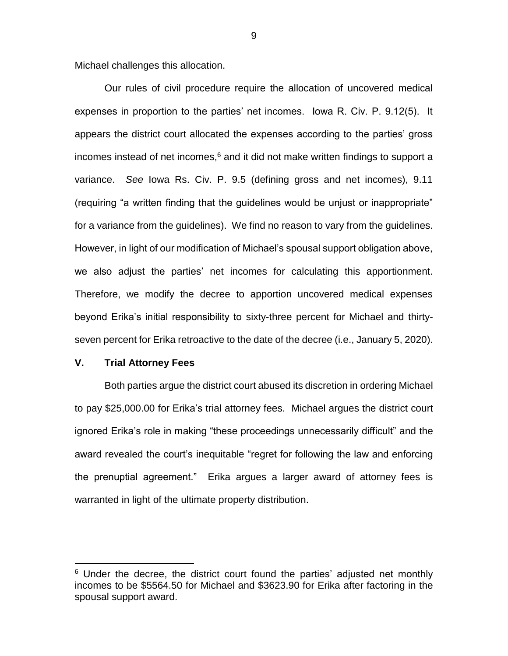Michael challenges this allocation.

Our rules of civil procedure require the allocation of uncovered medical expenses in proportion to the parties' net incomes. Iowa R. Civ. P. 9.12(5). It appears the district court allocated the expenses according to the parties' gross incomes instead of net incomes, $6$  and it did not make written findings to support a variance. *See* Iowa Rs. Civ. P. 9.5 (defining gross and net incomes), 9.11 (requiring "a written finding that the guidelines would be unjust or inappropriate" for a variance from the guidelines). We find no reason to vary from the guidelines. However, in light of our modification of Michael's spousal support obligation above, we also adjust the parties' net incomes for calculating this apportionment. Therefore, we modify the decree to apportion uncovered medical expenses beyond Erika's initial responsibility to sixty-three percent for Michael and thirtyseven percent for Erika retroactive to the date of the decree (i.e., January 5, 2020).

### **V. Trial Attorney Fees**

 $\overline{a}$ 

Both parties argue the district court abused its discretion in ordering Michael to pay \$25,000.00 for Erika's trial attorney fees. Michael argues the district court ignored Erika's role in making "these proceedings unnecessarily difficult" and the award revealed the court's inequitable "regret for following the law and enforcing the prenuptial agreement." Erika argues a larger award of attorney fees is warranted in light of the ultimate property distribution.

9

 $6$  Under the decree, the district court found the parties' adjusted net monthly incomes to be \$5564.50 for Michael and \$3623.90 for Erika after factoring in the spousal support award.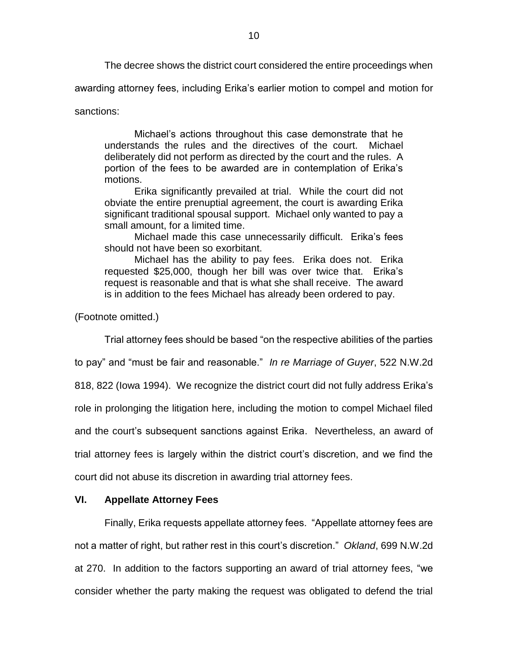The decree shows the district court considered the entire proceedings when

awarding attorney fees, including Erika's earlier motion to compel and motion for

sanctions:

Michael's actions throughout this case demonstrate that he understands the rules and the directives of the court. Michael deliberately did not perform as directed by the court and the rules. A portion of the fees to be awarded are in contemplation of Erika's motions.

Erika significantly prevailed at trial. While the court did not obviate the entire prenuptial agreement, the court is awarding Erika significant traditional spousal support. Michael only wanted to pay a small amount, for a limited time.

Michael made this case unnecessarily difficult. Erika's fees should not have been so exorbitant.

Michael has the ability to pay fees. Erika does not. Erika requested \$25,000, though her bill was over twice that. Erika's request is reasonable and that is what she shall receive. The award is in addition to the fees Michael has already been ordered to pay.

(Footnote omitted.)

Trial attorney fees should be based "on the respective abilities of the parties

to pay" and "must be fair and reasonable." *In re Marriage of Guyer*, 522 N.W.2d

818, 822 (Iowa 1994). We recognize the district court did not fully address Erika's

role in prolonging the litigation here, including the motion to compel Michael filed

and the court's subsequent sanctions against Erika. Nevertheless, an award of

trial attorney fees is largely within the district court's discretion, and we find the court did not abuse its discretion in awarding trial attorney fees.

#### **VI. Appellate Attorney Fees**

Finally, Erika requests appellate attorney fees. "Appellate attorney fees are not a matter of right, but rather rest in this court's discretion." *Okland*, 699 N.W.2d at 270. In addition to the factors supporting an award of trial attorney fees, "we consider whether the party making the request was obligated to defend the trial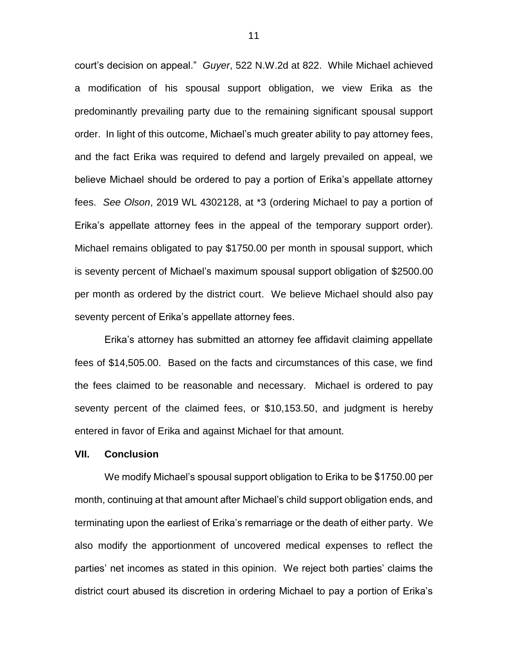court's decision on appeal." *Guyer*, 522 N.W.2d at 822. While Michael achieved a modification of his spousal support obligation, we view Erika as the predominantly prevailing party due to the remaining significant spousal support order. In light of this outcome, Michael's much greater ability to pay attorney fees, and the fact Erika was required to defend and largely prevailed on appeal, we believe Michael should be ordered to pay a portion of Erika's appellate attorney fees. *See Olson*, 2019 WL 4302128, at \*3 (ordering Michael to pay a portion of Erika's appellate attorney fees in the appeal of the temporary support order). Michael remains obligated to pay \$1750.00 per month in spousal support, which is seventy percent of Michael's maximum spousal support obligation of \$2500.00 per month as ordered by the district court. We believe Michael should also pay seventy percent of Erika's appellate attorney fees.

Erika's attorney has submitted an attorney fee affidavit claiming appellate fees of \$14,505.00. Based on the facts and circumstances of this case, we find the fees claimed to be reasonable and necessary. Michael is ordered to pay seventy percent of the claimed fees, or \$10,153.50, and judgment is hereby entered in favor of Erika and against Michael for that amount.

#### **VII. Conclusion**

We modify Michael's spousal support obligation to Erika to be \$1750.00 per month, continuing at that amount after Michael's child support obligation ends, and terminating upon the earliest of Erika's remarriage or the death of either party. We also modify the apportionment of uncovered medical expenses to reflect the parties' net incomes as stated in this opinion. We reject both parties' claims the district court abused its discretion in ordering Michael to pay a portion of Erika's